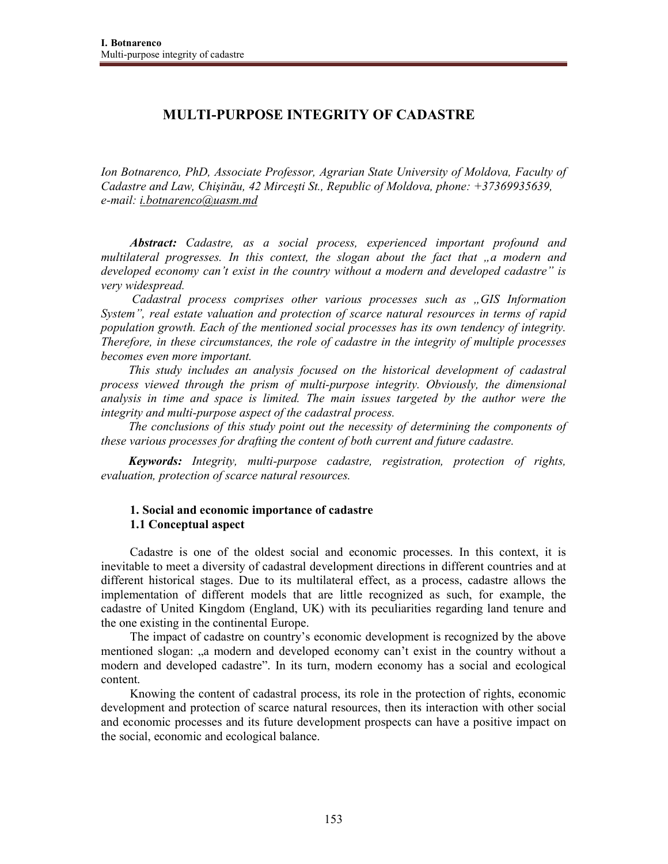# **MULTI-PURPOSE INTEGRITY OF CADASTRE**

*Ion Botnarenco, PhD, Associate Professor, Agrarian State University of Moldova, Faculty of Cadastre and Law, Chişinău, 42 Mirceşti St., Republic of Moldova, phone: +37369935639, e-mail: i.botnarenco@uasm.md*

*Abstract: Cadastre, as a social process, experienced important profound and multilateral progresses. In this context, the slogan about the fact that "a modern and developed economy can't exist in the country without a modern and developed cadastre" is very widespread.* 

 *Cadastral process comprises other various processes such as "GIS Information System", real estate valuation and protection of scarce natural resources in terms of rapid population growth. Each of the mentioned social processes has its own tendency of integrity. Therefore, in these circumstances, the role of cadastre in the integrity of multiple processes becomes even more important.* 

*This study includes an analysis focused on the historical development of cadastral process viewed through the prism of multi-purpose integrity. Obviously, the dimensional analysis in time and space is limited. The main issues targeted by the author were the integrity and multi-purpose aspect of the cadastral process.* 

*The conclusions of this study point out the necessity of determining the components of these various processes for drafting the content of both current and future cadastre.* 

*Keywords: Integrity, multi-purpose cadastre, registration, protection of rights, evaluation, protection of scarce natural resources.*

# **1. Social and economic importance of cadastre 1.1 Conceptual aspect**

Cadastre is one of the oldest social and economic processes. In this context, it is inevitable to meet a diversity of cadastral development directions in different countries and at different historical stages. Due to its multilateral effect, as a process, cadastre allows the implementation of different models that are little recognized as such, for example, the cadastre of United Kingdom (England, UK) with its peculiarities regarding land tenure and the one existing in the continental Europe.

The impact of cadastre on country's economic development is recognized by the above mentioned slogan: "a modern and developed economy can't exist in the country without a modern and developed cadastre". In its turn, modern economy has a social and ecological content.

Knowing the content of cadastral process, its role in the protection of rights, economic development and protection of scarce natural resources, then its interaction with other social and economic processes and its future development prospects can have a positive impact on the social, economic and ecological balance.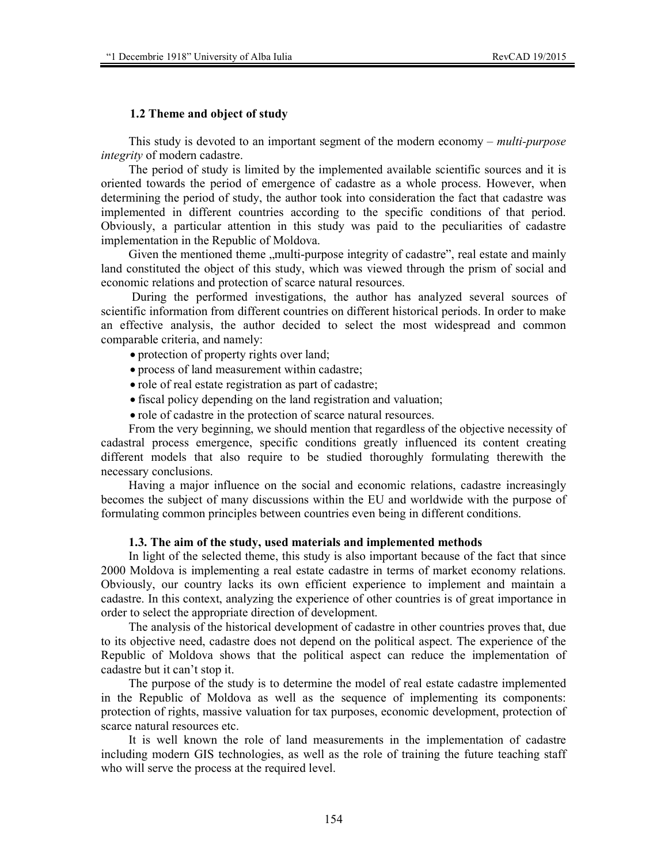### **1.2 Theme and object of study**

This study is devoted to an important segment of the modern economy – *multi-purpose integrity* of modern cadastre.

The period of study is limited by the implemented available scientific sources and it is oriented towards the period of emergence of cadastre as a whole process. However, when determining the period of study, the author took into consideration the fact that cadastre was implemented in different countries according to the specific conditions of that period. Obviously, a particular attention in this study was paid to the peculiarities of cadastre implementation in the Republic of Moldova.

Given the mentioned theme "multi-purpose integrity of cadastre", real estate and mainly land constituted the object of this study, which was viewed through the prism of social and economic relations and protection of scarce natural resources.

 During the performed investigations, the author has analyzed several sources of scientific information from different countries on different historical periods. In order to make an effective analysis, the author decided to select the most widespread and common comparable criteria, and namely:

- protection of property rights over land;
- process of land measurement within cadastre;
- role of real estate registration as part of cadastre;
- fiscal policy depending on the land registration and valuation;
- role of cadastre in the protection of scarce natural resources.

From the very beginning, we should mention that regardless of the objective necessity of cadastral process emergence, specific conditions greatly influenced its content creating different models that also require to be studied thoroughly formulating therewith the necessary conclusions.

Having a major influence on the social and economic relations, cadastre increasingly becomes the subject of many discussions within the EU and worldwide with the purpose of formulating common principles between countries even being in different conditions.

#### **1.3. The aim of the study, used materials and implemented methods**

In light of the selected theme, this study is also important because of the fact that since 2000 Moldova is implementing a real estate cadastre in terms of market economy relations. Obviously, our country lacks its own efficient experience to implement and maintain a cadastre. In this context, analyzing the experience of other countries is of great importance in order to select the appropriate direction of development.

The analysis of the historical development of cadastre in other countries proves that, due to its objective need, cadastre does not depend on the political aspect. The experience of the Republic of Moldova shows that the political aspect can reduce the implementation of cadastre but it can't stop it.

The purpose of the study is to determine the model of real estate cadastre implemented in the Republic of Moldova as well as the sequence of implementing its components: protection of rights, massive valuation for tax purposes, economic development, protection of scarce natural resources etc.

It is well known the role of land measurements in the implementation of cadastre including modern GIS technologies, as well as the role of training the future teaching staff who will serve the process at the required level.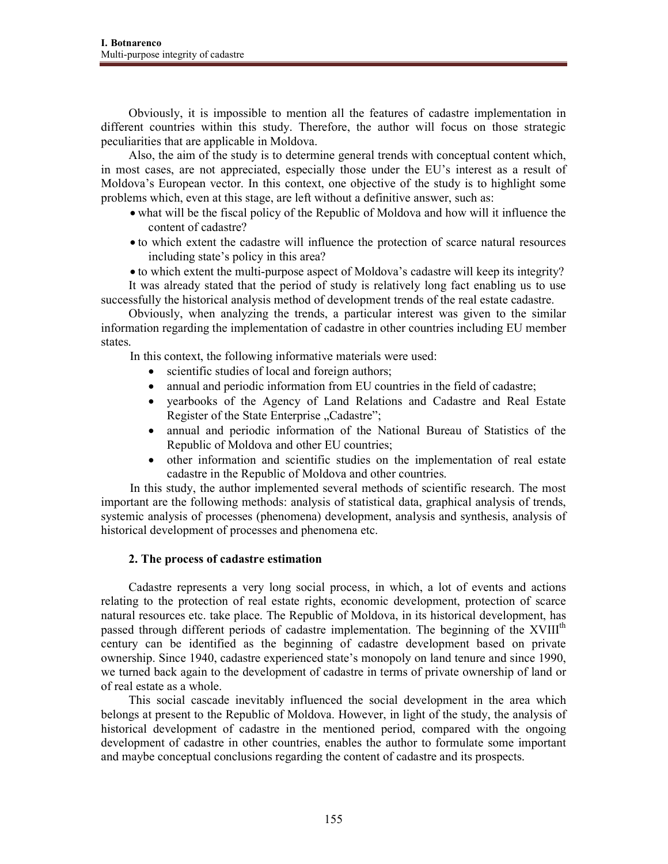Obviously, it is impossible to mention all the features of cadastre implementation in different countries within this study. Therefore, the author will focus on those strategic peculiarities that are applicable in Moldova.

Also, the aim of the study is to determine general trends with conceptual content which, in most cases, are not appreciated, especially those under the EU's interest as a result of Moldova's European vector. In this context, one objective of the study is to highlight some problems which, even at this stage, are left without a definitive answer, such as:

- what will be the fiscal policy of the Republic of Moldova and how will it influence the content of cadastre?
- to which extent the cadastre will influence the protection of scarce natural resources including state's policy in this area?

• to which extent the multi-purpose aspect of Moldova's cadastre will keep its integrity?

It was already stated that the period of study is relatively long fact enabling us to use successfully the historical analysis method of development trends of the real estate cadastre.

Obviously, when analyzing the trends, a particular interest was given to the similar information regarding the implementation of cadastre in other countries including EU member states.

In this context, the following informative materials were used:

- scientific studies of local and foreign authors;
- annual and periodic information from EU countries in the field of cadastre;
- yearbooks of the Agency of Land Relations and Cadastre and Real Estate Register of the State Enterprise "Cadastre";
- annual and periodic information of the National Bureau of Statistics of the Republic of Moldova and other EU countries;
- other information and scientific studies on the implementation of real estate cadastre in the Republic of Moldova and other countries.

In this study, the author implemented several methods of scientific research. The most important are the following methods: analysis of statistical data, graphical analysis of trends, systemic analysis of processes (phenomena) development, analysis and synthesis, analysis of historical development of processes and phenomena etc.

## **2. The process of cadastre estimation**

Cadastre represents a very long social process, in which, a lot of events and actions relating to the protection of real estate rights, economic development, protection of scarce natural resources etc. take place. The Republic of Moldova, in its historical development, has passed through different periods of cadastre implementation. The beginning of the XVIII<sup>th</sup> century can be identified as the beginning of cadastre development based on private ownership. Since 1940, cadastre experienced state's monopoly on land tenure and since 1990, we turned back again to the development of cadastre in terms of private ownership of land or of real estate as a whole.

This social cascade inevitably influenced the social development in the area which belongs at present to the Republic of Moldova. However, in light of the study, the analysis of historical development of cadastre in the mentioned period, compared with the ongoing development of cadastre in other countries, enables the author to formulate some important and maybe conceptual conclusions regarding the content of cadastre and its prospects.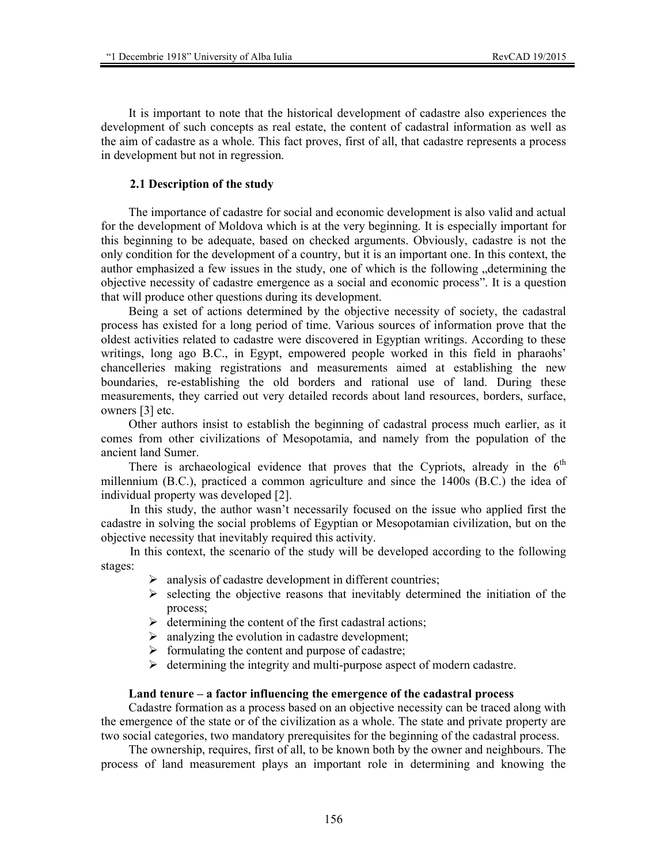It is important to note that the historical development of cadastre also experiences the development of such concepts as real estate, the content of cadastral information as well as the aim of cadastre as a whole. This fact proves, first of all, that cadastre represents a process in development but not in regression.

#### **2.1 Description of the study**

The importance of cadastre for social and economic development is also valid and actual for the development of Moldova which is at the very beginning. It is especially important for this beginning to be adequate, based on checked arguments. Obviously, cadastre is not the only condition for the development of a country, but it is an important one. In this context, the author emphasized a few issues in the study, one of which is the following  $\eta$  determining the objective necessity of cadastre emergence as a social and economic process". It is a question that will produce other questions during its development.

Being a set of actions determined by the objective necessity of society, the cadastral process has existed for a long period of time. Various sources of information prove that the oldest activities related to cadastre were discovered in Egyptian writings. According to these writings, long ago B.C., in Egypt, empowered people worked in this field in pharaohs' chancelleries making registrations and measurements aimed at establishing the new boundaries, re-establishing the old borders and rational use of land. During these measurements, they carried out very detailed records about land resources, borders, surface, owners [3] etc.

Other authors insist to establish the beginning of cadastral process much earlier, as it comes from other civilizations of Mesopotamia, and namely from the population of the ancient land Sumer.

There is archaeological evidence that proves that the Cypriots, already in the  $6<sup>th</sup>$ millennium (B.C.), practiced a common agriculture and since the 1400s (B.C.) the idea of individual property was developed [2].

In this study, the author wasn't necessarily focused on the issue who applied first the cadastre in solving the social problems of Egyptian or Mesopotamian civilization, but on the objective necessity that inevitably required this activity.

In this context, the scenario of the study will be developed according to the following stages:

- $\triangleright$  analysis of cadastre development in different countries;
- $\triangleright$  selecting the objective reasons that inevitably determined the initiation of the process;
- $\triangleright$  determining the content of the first cadastral actions;
- $\triangleright$  analyzing the evolution in cadastre development;
- $\triangleright$  formulating the content and purpose of cadastre;
- $\triangleright$  determining the integrity and multi-purpose aspect of modern cadastre.

### **Land tenure – a factor influencing the emergence of the cadastral process**

Cadastre formation as a process based on an objective necessity can be traced along with the emergence of the state or of the civilization as a whole. The state and private property are two social categories, two mandatory prerequisites for the beginning of the cadastral process.

The ownership, requires, first of all, to be known both by the owner and neighbours. The process of land measurement plays an important role in determining and knowing the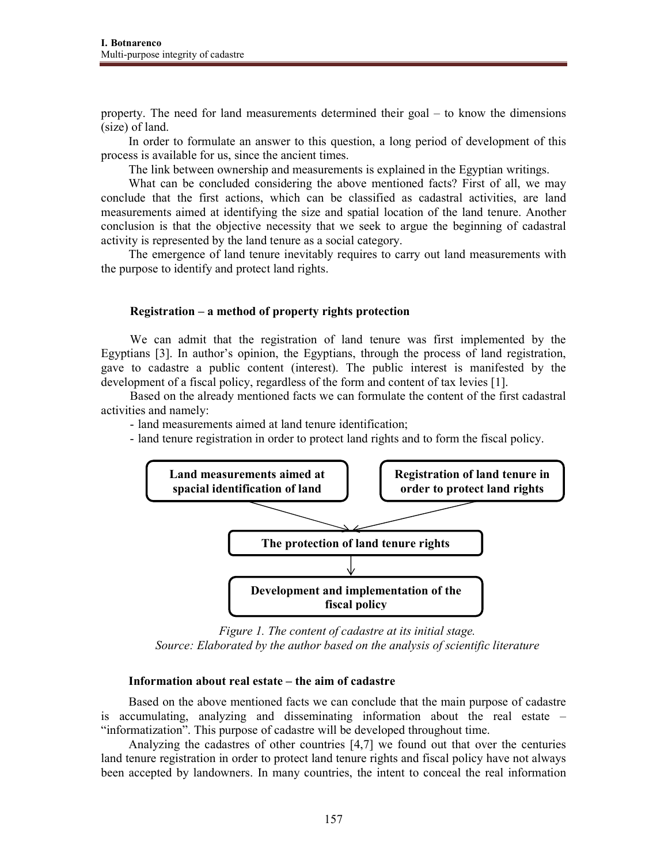property. The need for land measurements determined their goal – to know the dimensions (size) of land.

In order to formulate an answer to this question, a long period of development of this process is available for us, since the ancient times.

The link between ownership and measurements is explained in the Egyptian writings.

What can be concluded considering the above mentioned facts? First of all, we may conclude that the first actions, which can be classified as cadastral activities, are land measurements aimed at identifying the size and spatial location of the land tenure. Another conclusion is that the objective necessity that we seek to argue the beginning of cadastral activity is represented by the land tenure as a social category.

The emergence of land tenure inevitably requires to carry out land measurements with the purpose to identify and protect land rights.

### **Registration – a method of property rights protection**

We can admit that the registration of land tenure was first implemented by the Egyptians [3]. In author's opinion, the Egyptians, through the process of land registration, gave to cadastre a public content (interest). The public interest is manifested by the development of a fiscal policy, regardless of the form and content of tax levies [1].

Based on the already mentioned facts we can formulate the content of the first cadastral activities and namely:

- land measurements aimed at land tenure identification;
- land tenure registration in order to protect land rights and to form the fiscal policy.



*Figure 1. The content of cadastre at its initial stage. Source: Elaborated by the author based on the analysis of scientific literature* 

#### **Information about real estate – the aim of cadastre**

Based on the above mentioned facts we can conclude that the main purpose of cadastre is accumulating, analyzing and disseminating information about the real estate – "informatization". This purpose of cadastre will be developed throughout time.

Analyzing the cadastres of other countries [4,7] we found out that over the centuries land tenure registration in order to protect land tenure rights and fiscal policy have not always been accepted by landowners. In many countries, the intent to conceal the real information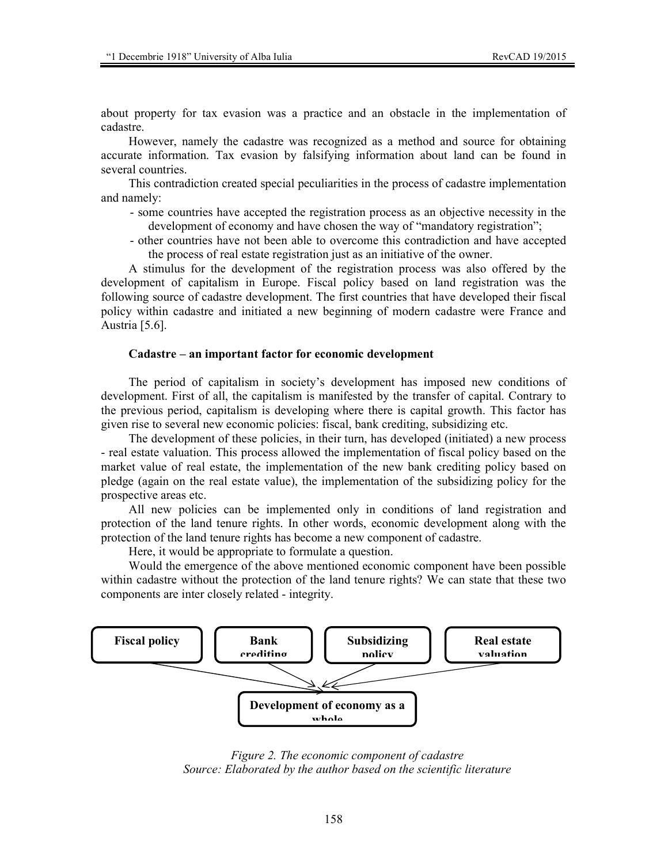about property for tax evasion was a practice and an obstacle in the implementation of cadastre.

However, namely the cadastre was recognized as a method and source for obtaining accurate information. Tax evasion by falsifying information about land can be found in several countries.

This contradiction created special peculiarities in the process of cadastre implementation and namely:

- some countries have accepted the registration process as an objective necessity in the development of economy and have chosen the way of "mandatory registration";
- other countries have not been able to overcome this contradiction and have accepted the process of real estate registration just as an initiative of the owner.

A stimulus for the development of the registration process was also offered by the development of capitalism in Europe. Fiscal policy based on land registration was the following source of cadastre development. The first countries that have developed their fiscal policy within cadastre and initiated a new beginning of modern cadastre were France and Austria [5.6].

#### **Cadastre – an important factor for economic development**

The period of capitalism in society's development has imposed new conditions of development. First of all, the capitalism is manifested by the transfer of capital. Contrary to the previous period, capitalism is developing where there is capital growth. This factor has given rise to several new economic policies: fiscal, bank crediting, subsidizing etc.

The development of these policies, in their turn, has developed (initiated) a new process - real estate valuation. This process allowed the implementation of fiscal policy based on the market value of real estate, the implementation of the new bank crediting policy based on pledge (again on the real estate value), the implementation of the subsidizing policy for the prospective areas etc.

All new policies can be implemented only in conditions of land registration and protection of the land tenure rights. In other words, economic development along with the protection of the land tenure rights has become a new component of cadastre.

Here, it would be appropriate to formulate a question.

Would the emergence of the above mentioned economic component have been possible within cadastre without the protection of the land tenure rights? We can state that these two components are inter closely related - integrity.



*Figure 2. The economic component of cadastre Source: Elaborated by the author based on the scientific literature*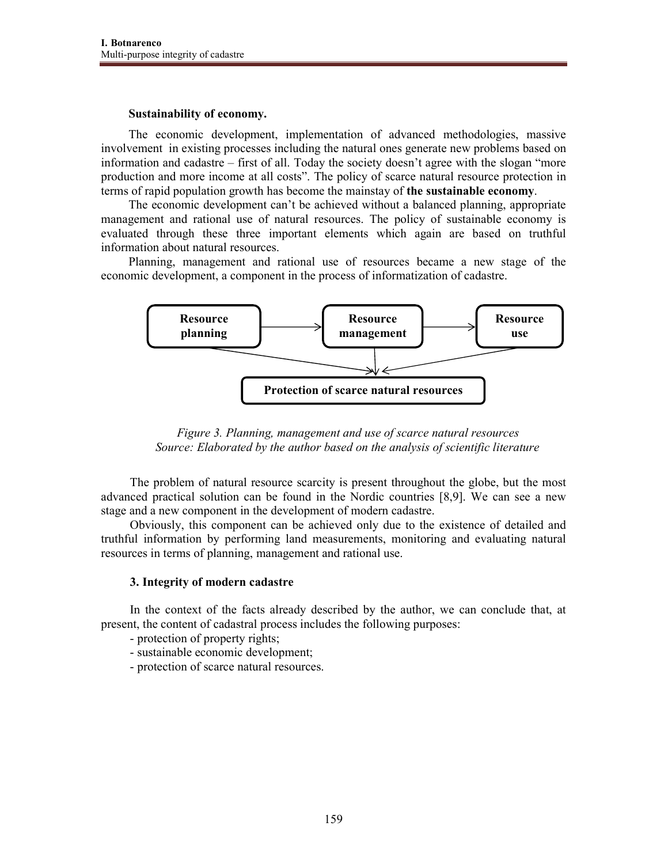### **Sustainability of economy.**

The economic development, implementation of advanced methodologies, massive involvement in existing processes including the natural ones generate new problems based on information and cadastre – first of all. Today the society doesn't agree with the slogan "more production and more income at all costs". The policy of scarce natural resource protection in terms of rapid population growth has become the mainstay of **the sustainable economy**.

The economic development can't be achieved without a balanced planning, appropriate management and rational use of natural resources. The policy of sustainable economy is evaluated through these three important elements which again are based on truthful information about natural resources.

Planning, management and rational use of resources became a new stage of the economic development, a component in the process of informatization of cadastre.



*Figure 3. Planning, management and use of scarce natural resources Source: Elaborated by the author based on the analysis of scientific literature* 

The problem of natural resource scarcity is present throughout the globe, but the most advanced practical solution can be found in the Nordic countries [8,9]. We can see a new stage and a new component in the development of modern cadastre.

Obviously, this component can be achieved only due to the existence of detailed and truthful information by performing land measurements, monitoring and evaluating natural resources in terms of planning, management and rational use.

## **3. Integrity of modern cadastre**

In the context of the facts already described by the author, we can conclude that, at present, the content of cadastral process includes the following purposes:

- protection of property rights;
- sustainable economic development;
- protection of scarce natural resources.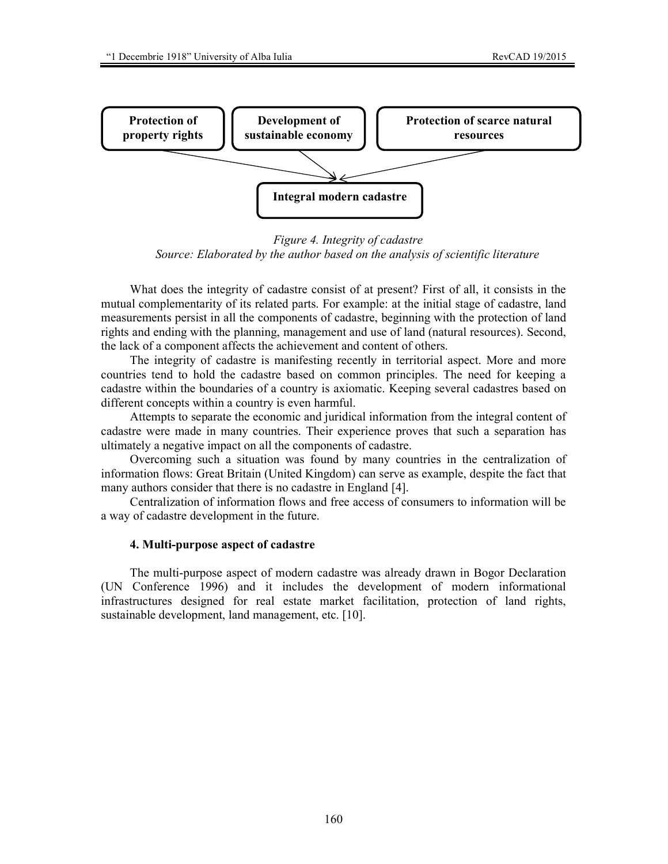

*Figure 4. Integrity of cadastre Source: Elaborated by the author based on the analysis of scientific literature* 

What does the integrity of cadastre consist of at present? First of all, it consists in the mutual complementarity of its related parts. For example: at the initial stage of cadastre, land measurements persist in all the components of cadastre, beginning with the protection of land rights and ending with the planning, management and use of land (natural resources). Second, the lack of a component affects the achievement and content of others.

The integrity of cadastre is manifesting recently in territorial aspect. More and more countries tend to hold the cadastre based on common principles. The need for keeping a cadastre within the boundaries of a country is axiomatic. Keeping several cadastres based on different concepts within a country is even harmful.

Attempts to separate the economic and juridical information from the integral content of cadastre were made in many countries. Their experience proves that such a separation has ultimately a negative impact on all the components of cadastre.

Overcoming such a situation was found by many countries in the centralization of information flows: Great Britain (United Kingdom) can serve as example, despite the fact that many authors consider that there is no cadastre in England [4].

Centralization of information flows and free access of consumers to information will be a way of cadastre development in the future.

#### **4. Multi-purpose aspect of cadastre**

The multi-purpose aspect of modern cadastre was already drawn in Bogor Declaration (UN Conference 1996) and it includes the development of modern informational infrastructures designed for real estate market facilitation, protection of land rights, sustainable development, land management, etc. [10].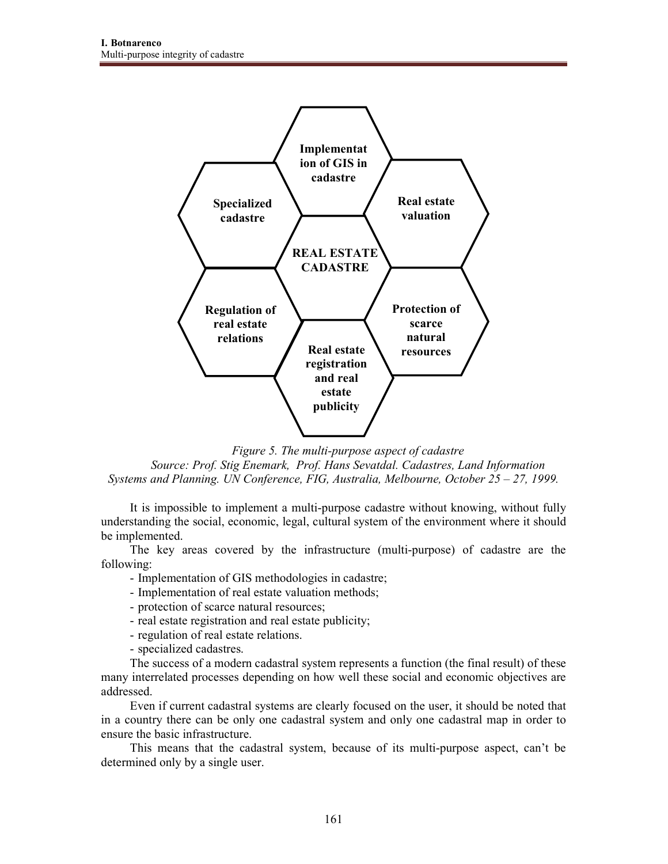

*Figure 5. The multi-purpose aspect of cadastre Source: Prof. Stig Enemark, Prof. Hans Sevatdal. Cadastres, Land Information Systems and Planning. UN Conference, FIG, Australia, Melbourne, October 25 – 27, 1999.* 

It is impossible to implement a multi-purpose cadastre without knowing, without fully understanding the social, economic, legal, cultural system of the environment where it should be implemented.

The key areas covered by the infrastructure (multi-purpose) of cadastre are the following:

- Implementation of GIS methodologies in cadastre;
- Implementation of real estate valuation methods;
- protection of scarce natural resources;
- real estate registration and real estate publicity;
- regulation of real estate relations.
- specialized cadastres.

The success of a modern cadastral system represents a function (the final result) of these many interrelated processes depending on how well these social and economic objectives are addressed.

Even if current cadastral systems are clearly focused on the user, it should be noted that in a country there can be only one cadastral system and only one cadastral map in order to ensure the basic infrastructure.

This means that the cadastral system, because of its multi-purpose aspect, can't be determined only by a single user.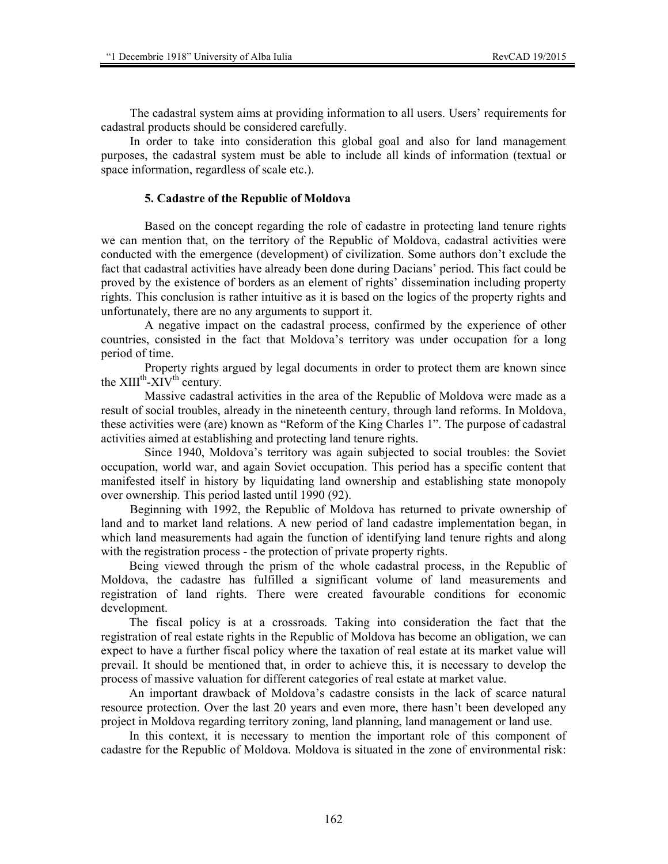The cadastral system aims at providing information to all users. Users' requirements for cadastral products should be considered carefully.

In order to take into consideration this global goal and also for land management purposes, the cadastral system must be able to include all kinds of information (textual or space information, regardless of scale etc.).

### **5. Cadastre of the Republic of Moldova**

Based on the concept regarding the role of cadastre in protecting land tenure rights we can mention that, on the territory of the Republic of Moldova, cadastral activities were conducted with the emergence (development) of civilization. Some authors don't exclude the fact that cadastral activities have already been done during Dacians' period. This fact could be proved by the existence of borders as an element of rights' dissemination including property rights. This conclusion is rather intuitive as it is based on the logics of the property rights and unfortunately, there are no any arguments to support it.

A negative impact on the cadastral process, confirmed by the experience of other countries, consisted in the fact that Moldova's territory was under occupation for a long period of time.

Property rights argued by legal documents in order to protect them are known since the  $XIII^{th}$ - $XIV^{th}$  century.

Massive cadastral activities in the area of the Republic of Moldova were made as a result of social troubles, already in the nineteenth century, through land reforms. In Moldova, these activities were (are) known as "Reform of the King Charles 1". The purpose of cadastral activities aimed at establishing and protecting land tenure rights.

Since 1940, Moldova's territory was again subjected to social troubles: the Soviet occupation, world war, and again Soviet occupation. This period has a specific content that manifested itself in history by liquidating land ownership and establishing state monopoly over ownership. This period lasted until 1990 (92).

Beginning with 1992, the Republic of Moldova has returned to private ownership of land and to market land relations. A new period of land cadastre implementation began, in which land measurements had again the function of identifying land tenure rights and along with the registration process - the protection of private property rights.

Being viewed through the prism of the whole cadastral process, in the Republic of Moldova, the cadastre has fulfilled a significant volume of land measurements and registration of land rights. There were created favourable conditions for economic development.

The fiscal policy is at a crossroads. Taking into consideration the fact that the registration of real estate rights in the Republic of Moldova has become an obligation, we can expect to have a further fiscal policy where the taxation of real estate at its market value will prevail. It should be mentioned that, in order to achieve this, it is necessary to develop the process of massive valuation for different categories of real estate at market value.

An important drawback of Moldova's cadastre consists in the lack of scarce natural resource protection. Over the last 20 years and even more, there hasn't been developed any project in Moldova regarding territory zoning, land planning, land management or land use.

In this context, it is necessary to mention the important role of this component of cadastre for the Republic of Moldova. Moldova is situated in the zone of environmental risk: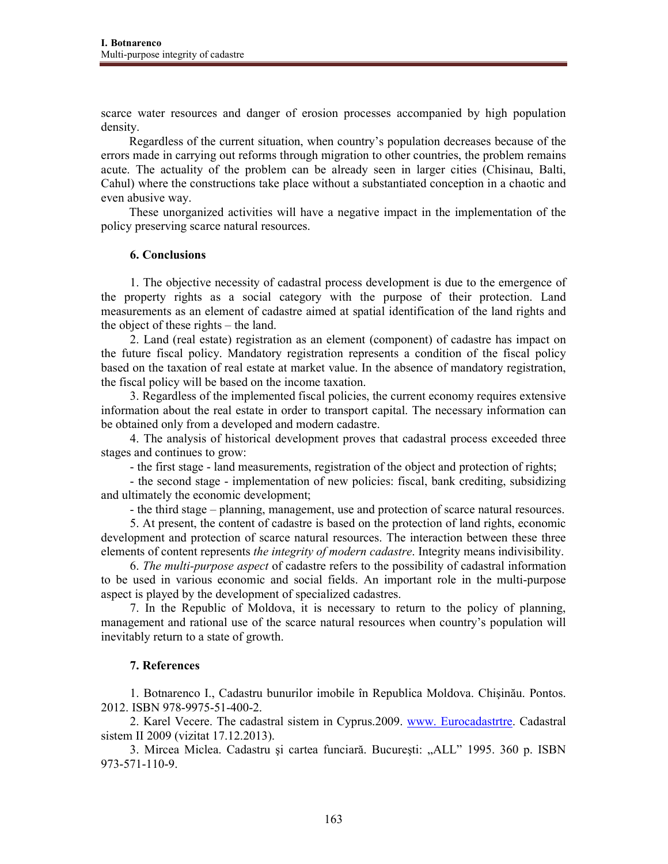scarce water resources and danger of erosion processes accompanied by high population density.

Regardless of the current situation, when country's population decreases because of the errors made in carrying out reforms through migration to other countries, the problem remains acute. The actuality of the problem can be already seen in larger cities (Chisinau, Balti, Cahul) where the constructions take place without a substantiated conception in a chaotic and even abusive way.

These unorganized activities will have a negative impact in the implementation of the policy preserving scarce natural resources.

### **6. Conclusions**

1. The objective necessity of cadastral process development is due to the emergence of the property rights as a social category with the purpose of their protection. Land measurements as an element of cadastre aimed at spatial identification of the land rights and the object of these rights – the land.

2. Land (real estate) registration as an element (component) of cadastre has impact on the future fiscal policy. Mandatory registration represents a condition of the fiscal policy based on the taxation of real estate at market value. In the absence of mandatory registration, the fiscal policy will be based on the income taxation.

3. Regardless of the implemented fiscal policies, the current economy requires extensive information about the real estate in order to transport capital. The necessary information can be obtained only from a developed and modern cadastre.

4. The analysis of historical development proves that cadastral process exceeded three stages and continues to grow:

- the first stage - land measurements, registration of the object and protection of rights;

- the second stage - implementation of new policies: fiscal, bank crediting, subsidizing and ultimately the economic development;

- the third stage – planning, management, use and protection of scarce natural resources.

5. At present, the content of cadastre is based on the protection of land rights, economic development and protection of scarce natural resources. The interaction between these three elements of content represents *the integrity of modern cadastre*. Integrity means indivisibility.

6. *The multi-purpose aspect* of cadastre refers to the possibility of cadastral information to be used in various economic and social fields. An important role in the multi-purpose aspect is played by the development of specialized cadastres.

7. In the Republic of Moldova, it is necessary to return to the policy of planning, management and rational use of the scarce natural resources when country's population will inevitably return to a state of growth.

## **7. References**

1. Botnarenco I., Cadastru bunurilor imobile în Republica Moldova. Chişinău. Pontos. 2012. ISBN 978-9975-51-400-2.

2. Karel Vecere. The cadastral sistem in Cyprus.2009. www. Eurocadastrtre. Cadastral sistem II 2009 (vizitat 17.12.2013).

3. Mircea Miclea. Cadastru și cartea funciară. București: "ALL" 1995. 360 p. ISBN 973-571-110-9.